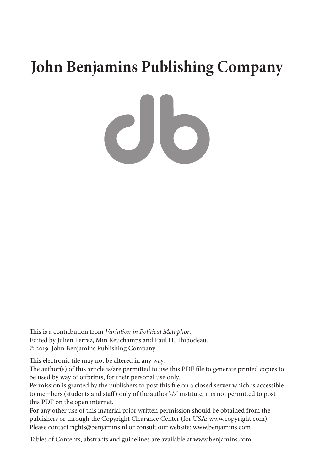# **John Benjamins Publishing Company**

 $c$ lo

This is a contribution from *Variation in Political Metaphor*. Edited by Julien Perrez, Min Reuchamps and Paul H. Thibodeau. © 2019. John Benjamins Publishing Company

This electronic file may not be altered in any way.

The author(s) of this article is/are permitted to use this PDF file to generate printed copies to be used by way of offprints, for their personal use only.

Permission is granted by the publishers to post this file on a closed server which is accessible to members (students and staff) only of the author's/s' institute, it is not permitted to post this PDF on the open internet.

For any other use of this material prior written permission should be obtained from the publishers or through the Copyright Clearance Center (for USA: [www.copyright.com](http://www.copyright.com)). Please contact [rights@benjamins.nl](mailto:rights@benjamins.nl) or consult our website: [www.benjamins.com](http://www.benjamins.com)

Tables of Contents, abstracts and guidelines are available at [www.benjamins.com](http://www.benjamins.com)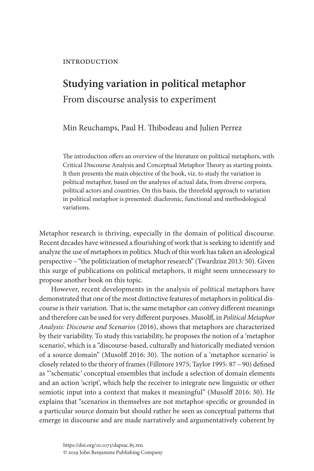## **Studying variation in political metaphor** From discourse analysis to experiment

Min Reuchamps, Paul H. Thibodeau and Julien Perrez

The introduction offers an overview of the literature on political metaphors, with Critical Discourse Analysis and Conceptual Metaphor Theory as starting points. It then presents the main objective of the book, viz. to study the variation in political metaphor, based on the analyses of actual data, from diverse corpora, political actors and countries. On this basis, the threefold approach to variation in political metaphor is presented: diachronic, functional and methodological variations.

Metaphor research is thriving, especially in the domain of political discourse. Recent decades have witnessed a flourishing of work that is seeking to identify and analyze the use of metaphors in politics. Much of this work has taken an ideological perspective – "the politicization of metaphor research" [\(Twardzisz 2013](#page-11-0): 50). Given this surge of publications on political metaphors, it might seem unnecessary to propose another book on this topic.

However, recent developments in the analysis of political metaphors have demonstrated that one of the most distinctive features of metaphors in political discourse is their variation. That is, the same metaphor can convey different meanings and therefore can be used for very different purposes. Musolff, in *Political Metaphor Analysis: Discourse and Scenarios* ([2016](#page-11-1)), shows that metaphors are characterized by their variability. To study this variability, he proposes the notion of a 'metaphor scenario', which is a "discourse-based, culturally and historically mediated version of a source domain" ([Musolff 2016](#page-11-1): 30). The notion of a 'metaphor scenario' is closely related to the theory of frames ([Fillmore 1975](#page-10-0); [Taylor 1995](#page-11-2): 87 – 90) defined as "'schematic' conceptual ensembles that include a selection of domain elements and an action 'script', which help the receiver to integrate new linguistic or other semiotic input into a context that makes it meaningful" [\(Musolff 2016:](#page-11-1) 30). He explains that "scenarios in themselves are not metaphor-specific or grounded in a particular source domain but should rather be seen as conceptual patterns that emerge in discourse and are made narratively and argumentatively coherent by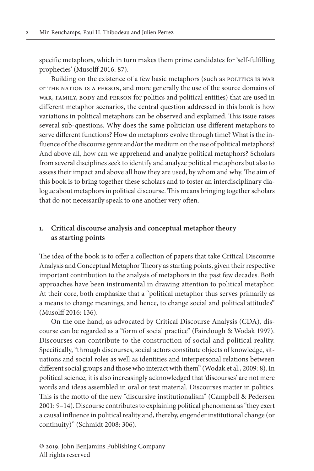specific metaphors, which in turn makes them prime candidates for 'self-fulfilling prophecies' [\(Musolff 2016:](#page-11-1) 87).

Building on the existence of a few basic metaphors (such as POLITICS IS WAR or the nation is a person, and more generally the use of the source domains of war, family, body and person for politics and political entities) that are used in different metaphor scenarios, the central question addressed in this book is how variations in political metaphors can be observed and explained. This issue raises several sub-questions. Why does the same politician use different metaphors to serve different functions? How do metaphors evolve through time? What is the influence of the discourse genre and/or the medium on the use of political metaphors? And above all, how can we apprehend and analyze political metaphors? Scholars from several disciplines seek to identify and analyze political metaphors but also to assess their impact and above all how they are used, by whom and why. The aim of this book is to bring together these scholars and to foster an interdisciplinary dialogue about metaphors in political discourse. This means bringing together scholars that do not necessarily speak to one another very often.

### **1. Critical discourse analysis and conceptual metaphor theory as starting points**

The idea of the book is to offer a collection of papers that take Critical Discourse Analysis and Conceptual Metaphor Theory as starting points, given their respective important contribution to the analysis of metaphors in the past few decades. Both approaches have been instrumental in drawing attention to political metaphor. At their core, both emphasize that a "political metaphor thus serves primarily as a means to change meanings, and hence, to change social and political attitudes" [\(Musolff 2016](#page-11-1): 136).

On the one hand, as advocated by Critical Discourse Analysis (CDA), discourse can be regarded as a "form of social practice" ([Fairclough & Wodak 1997\)](#page-10-1). Discourses can contribute to the construction of social and political reality. Specifically, "through discourses, social actors constitute objects of knowledge, situations and social roles as well as identities and interpersonal relations between different social groups and those who interact with them" ([Wodak et al., 2009](#page-11-3): 8). In political science, it is also increasingly acknowledged that 'discourses' are not mere words and ideas assembled in oral or text material. Discourses matter in politics. This is the motto of the new "discursive institutionalism" [\(Campbell & Pedersen](#page-10-2)  [2001:](#page-10-2) 9–14). Discourse contributes to explaining political phenomena as "they exert a causal influence in political reality and, thereby, engender institutional change (or continuity)" ([Schmidt 2008](#page-11-4): 306).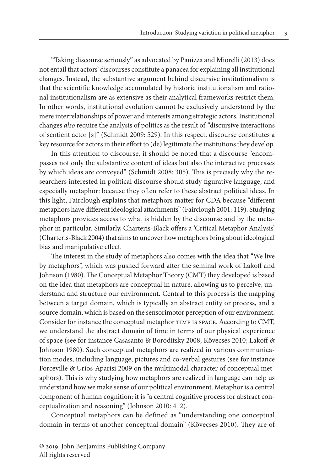"Taking discourse seriously" as advocated by [Panizza and Miorelli \(2013\)](#page-11-5) does not entail that actors' discourses constitute a panacea for explaining all institutional changes. Instead, the substantive argument behind discursive institutionalism is that the scientific knowledge accumulated by historic institutionalism and rational institutionalism are as extensive as their analytical frameworks restrict them. In other words, institutional evolution cannot be exclusively understood by the mere interrelationships of power and interests among strategic actors. Institutional changes *also* require the analysis of politics as the result of "discursive interactions of sentient actor [s]" ([Schmidt 2009:](#page-11-6) 529). In this respect, discourse constitutes a key resource for actors in their effort to (de) legitimate the institutions they develop.

In this attention to discourse, it should be noted that a discourse "encompasses not only the substantive content of ideas but also the interactive processes by which ideas are conveyed" [\(Schmidt 2008](#page-11-4): 305). This is precisely why the researchers interested in political discourse should study figurative language, and especially metaphor: because they often refer to these abstract political ideas. In this light, Fairclough explains that metaphors matter for CDA because "different metaphors have different ideological attachments" ([Fairclough 2001:](#page-10-3) 119). Studying metaphors provides access to what is hidden by the discourse and by the metaphor in particular. Similarly, Charteris-Black offers a 'Critical Metaphor Analysis' [\(Charteris-Black 2004\)](#page-10-4) that aims to uncover how metaphors bring about ideological bias and manipulative effect.

The interest in the study of metaphors also comes with the idea that "We live by metaphors", which was pushed forward after the seminal work of [Lakoff and](#page-11-7)  [Johnson \(1980\).](#page-11-7) The Conceptual Metaphor Theory (CMT) they developed is based on the idea that metaphors are conceptual in nature, allowing us to perceive, understand and structure our environment. Central to this process is the mapping between a target domain, which is typically an abstract entity or process, and a source domain, which is based on the sensorimotor perception of our environment. Consider for instance the conceptual metaphor TIME IS SPACE. According to CMT, we understand the abstract domain of time in terms of our physical experience of space (see for instance [Casasanto & Boroditsky 2008](#page-10-5); [Kövecses 2010](#page-11-8); [Lakoff &](#page-11-7)  [Johnson 1980](#page-11-7)). Such conceptual metaphors are realized in various communication modes, including language, pictures and co-verbal gestures (see for instance Forceville & Urios-Aparisi 2009 on the multimodal character of conceptual metaphors). This is why studying how metaphors are realized in language can help us understand how we make sense of our political environment. Metaphor is a central component of human cognition; it is "a central cognitive process for abstract conceptualization and reasoning" ([Johnson 2010:](#page-10-6) 412).

Conceptual metaphors can be defined as "understanding one conceptual domain in terms of another conceptual domain" [\(Kövecses 2010\)](#page-11-8). They are of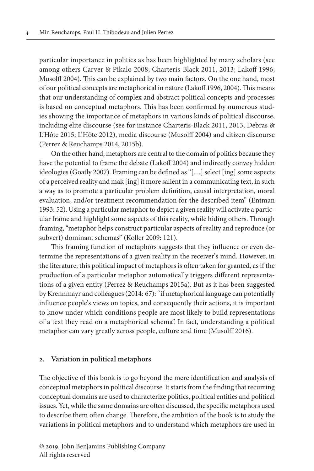particular importance in politics as has been highlighted by many scholars (see among others [Carver & Pikalo 2008;](#page-10-7) [Charteris-Black 2011](#page-10-8), [2013;](#page-10-9) [Lakoff 1996](#page-11-9); [Musolff 2004\)](#page-11-10). This can be explained by two main factors. On the one hand, most of our political concepts are metaphorical in nature [\(Lakoff 1996](#page-11-9), [2004\)](#page-11-11). This means that our understanding of complex and abstract political concepts and processes is based on conceptual metaphors. This has been confirmed by numerous studies showing the importance of metaphors in various kinds of political discourse, including elite discourse (see for instance [Charteris-Black 2011,](#page-10-8) [2013](#page-10-9); [Debras &](#page-10-10)  [L'Hôte 2015](#page-10-10); [L'Hôte 2012\)](#page-11-12), media discourse ([Musolff 2004\)](#page-11-10) and citizen discourse [\(Perrez & Reuchamps 2014,](#page-11-13) [2015b\)](#page-11-14).

On the other hand, metaphors are central to the domain of politics because they have the potential to frame the debate ([Lakoff 2004](#page-11-11)) and indirectly convey hidden ideologies [\(Goatly 2007](#page-10-11)). Framing can be defined as "[…] select [ing] some aspects of a perceived reality and mak [ing] it more salient in a communicating text, in such a way as to promote a particular problem definition, causal interpretation, moral evaluation, and/or treatment recommendation for the described item" ([Entman](#page-10-12)  [1993:](#page-10-12) 52). Using a particular metaphor to depict a given reality will activate a particular frame and highlight some aspects of this reality, while hiding others. Through framing, "metaphor helps construct particular aspects of reality and reproduce (or subvert) dominant schemas" [\(Koller 2009:](#page-11-15) 121).

This framing function of metaphors suggests that they influence or even determine the representations of a given reality in the receiver's mind. However, in the literature, this political impact of metaphors is often taken for granted, as if the production of a particular metaphor automatically triggers different representations of a given entity [\(Perrez & Reuchamps 2015a\)](#page-11-16). But as it has been suggested by [Krennmayr and colleagues \(2014:](#page-11-17) 67): "if metaphorical language can potentially influence people's views on topics, and consequently their actions, it is important to know under which conditions people are most likely to build representations of a text they read on a metaphorical schema". In fact, understanding a political metaphor can vary greatly across people, culture and time ([Musolff 2016](#page-11-1)).

#### **2. Variation in political metaphors**

The objective of this book is to go beyond the mere identification and analysis of conceptual metaphors in political discourse. It starts from the finding that recurring conceptual domains are used to characterize politics, political entities and political issues. Yet, while the same domains are often discussed, the specific metaphors used to describe them often change. Therefore, the ambition of the book is to study the variations in political metaphors and to understand which metaphors are used in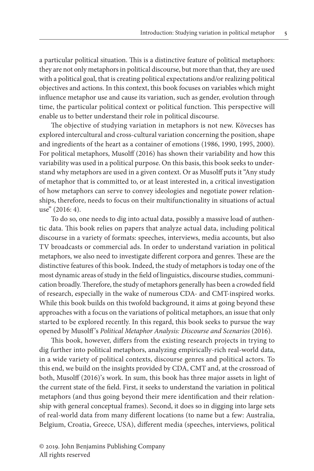a particular political situation. This is a distinctive feature of political metaphors: they are not only metaphors in political discourse, but more than that, they are used with a political goal, that is creating political expectations and/or realizing political objectives and actions. In this context, this book focuses on variables which might influence metaphor use and cause its variation, such as gender, evolution through time, the particular political context or political function. This perspective will enable us to better understand their role in political discourse.

The objective of studying variation in metaphors is not new. Kövecses has explored intercultural and cross-cultural variation concerning the position, shape and ingredients of the heart as a container of emotions [\(1986,](#page-10-13) [1990](#page-10-14), [1995](#page-11-18), [2000\)](#page-11-19). For political metaphors, [Musolff \(2016\)](#page-11-1) has shown their variability and how this variability was used in a political purpose. On this basis, this book seeks to understand why metaphors are used in a given context. Or as Musolff puts it "Any study of metaphor that is committed to, or at least interested in, a critical investigation of how metaphors can serve to convey ideologies and negotiate power relationships, therefore, needs to focus on their multifunctionality in situations of actual use" ([2016:](#page-11-1) 4).

To do so, one needs to dig into actual data, possibly a massive load of authentic data. This book relies on papers that analyze actual data, including political discourse in a variety of formats: speeches, interviews, media accounts, but also TV broadcasts or commercial ads. In order to understand variation in political metaphors, we also need to investigate different corpora and genres. These are the distinctive features of this book. Indeed, the study of metaphors is today one of the most dynamic areas of study in the field of linguistics, discourse studies, communication broadly. Therefore, the study of metaphors generally has been a crowded field of research, especially in the wake of numerous CDA- and CMT-inspired works. While this book builds on this twofold background, it aims at going beyond these approaches with a focus on the variations of political metaphors, an issue that only started to be explored recently. In this regard, this book seeks to pursue the way opened by Musolff 's *Political Metaphor Analysis: Discourse and Scenarios* ([2016](#page-11-1)).

This book, however, differs from the existing research projects in trying to dig further into political metaphors, analyzing empirically-rich real-world data, in a wide variety of political contexts, discourse genres and political actors. To this end, we build on the insights provided by CDA, CMT and, at the crossroad of both, [Musolff \(2016\)'](#page-11-1)s work. In sum, this book has three major assets in light of the current state of the field. First, it seeks to understand the variation in political metaphors (and thus going beyond their mere identification and their relationship with general conceptual frames). Second, it does so in digging into large sets of real-world data from many different locations (to name but a few: Australia, Belgium, Croatia, Greece, USA), different media (speeches, interviews, political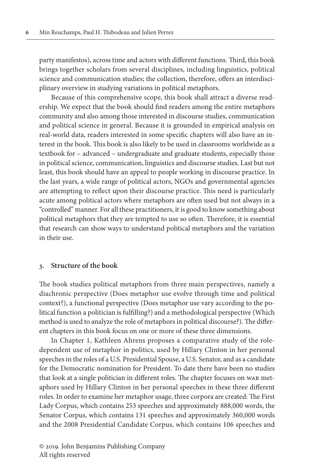party manifestos), across time and actors with different functions. Third, this book brings together scholars from several disciplines, including linguistics, political science and communication studies; the collection, therefore, offers an interdisciplinary overview in studying variations in political metaphors.

Because of this comprehensive scope, this book shall attract a diverse readership. We expect that the book should find readers among the entire metaphors community and also among those interested in discourse studies, communication and political science in general. Because it is grounded in empirical analysis on real-world data, readers interested in some specific chapters will also have an interest in the book. This book is also likely to be used in classrooms worldwide as a textbook for – advanced – undergraduate and graduate students, especially those in political science, communication, linguistics and discourse studies. Last but not least, this book should have an appeal to people working in discourse practice. In the last years, a wide range of political actors, NGOs and governmental agencies are attempting to reflect upon their discourse practice. This need is particularly acute among political actors where metaphors are often used but not always in a "controlled" manner. For all these practitioners, it is good to know something about political metaphors that they are tempted to use so often. Therefore, it is essential that research can show ways to understand political metaphors and the variation in their use.

#### **3. Structure of the book**

The book studies political metaphors from three main perspectives, namely a diachronic perspective (Does metaphor use evolve through time and political context?), a functional perspective (Does metaphor use vary according to the political function a politician is fulfilling?) and a methodological perspective (Which method is used to analyze the role of metaphors in political discourse?). The different chapters in this book focus on one or more of these three dimensions.

In Chapter 1, Kathleen Ahrens proposes a comparative study of the roledependent use of metaphor in politics, used by Hillary Clinton in her personal speeches in the roles of a U.S. Presidential Spouse, a U.S. Senator, and as a candidate for the Democratic nomination for President. To date there have been no studies that look at a single politician in different roles. The chapter focuses on war metaphors used by Hillary Clinton in her personal speeches in these three different roles. In order to examine her metaphor usage, three corpora are created: The First Lady Corpus, which contains 253 speeches and approximately 888,000 words, the Senator Corpus, which contains 131 speeches and approximately 360,000 words and the 2008 Presidential Candidate Corpus, which contains 106 speeches and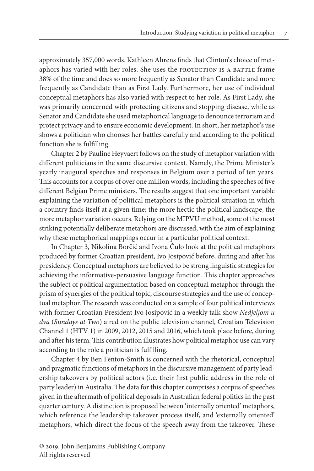approximately 357,000 words. Kathleen Ahrens finds that Clinton's choice of metaphors has varied with her roles. She uses the PROTECTION IS A BATTLE frame 38% of the time and does so more frequently as Senator than Candidate and more frequently as Candidate than as First Lady. Furthermore, her use of individual conceptual metaphors has also varied with respect to her role. As First Lady, she was primarily concerned with protecting citizens and stopping disease, while as Senator and Candidate she used metaphorical language to denounce terrorism and protect privacy and to ensure economic development. In short, her metaphor's use shows a politician who chooses her battles carefully and according to the political function she is fulfilling.

Chapter 2 by Pauline Heyvaert follows on the study of metaphor variation with different politicians in the same discursive context. Namely, the Prime Minister's yearly inaugural speeches and responses in Belgium over a period of ten years. This accounts for a corpus of over one million words, including the speeches of five different Belgian Prime ministers. The results suggest that one important variable explaining the variation of political metaphors is the political situation in which a country finds itself at a given time: the more hectic the political landscape, the more metaphor variation occurs. Relying on the MIPVU method, some of the most striking potentially deliberate metaphors are discussed, with the aim of explaining why these metaphorical mappings occur in a particular political context.

In Chapter 3, Nikolina Borčić and Ivona Čulo look at the political metaphors produced by former Croatian president, Ivo Josipović before, during and after his presidency. Conceptual metaphors are believed to be strong linguistic strategies for achieving the informative-persuasive language function. This chapter approaches the subject of political argumentation based on conceptual metaphor through the prism of synergies of the political topic, discourse strategies and the use of conceptual metaphor. The research was conducted on a sample of four political interviews with former Croatian President Ivo Josipović in a weekly talk show *Nedjeljom u dva* (*Sundays at Two*) aired on the public television channel, Croatian Television Channel 1 (HTV 1) in 2009, 2012, 2015 and 2016, which took place before, during and after his term. This contribution illustrates how political metaphor use can vary according to the role a politician is fulfilling.

Chapter 4 by Ben Fenton-Smith is concerned with the rhetorical, conceptual and pragmatic functions of metaphors in the discursive management of party leadership takeovers by political actors (i.e. their first public address in the role of party leader) in Australia. The data for this chapter comprises a corpus of speeches given in the aftermath of political deposals in Australian federal politics in the past quarter century. A distinction is proposed between 'internally oriented' metaphors, which reference the leadership takeover process itself, and 'externally oriented' metaphors, which direct the focus of the speech away from the takeover. These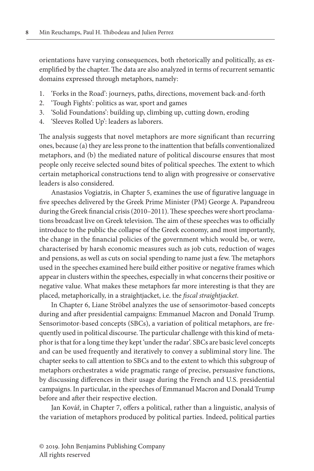orientations have varying consequences, both rhetorically and politically, as exemplified by the chapter. The data are also analyzed in terms of recurrent semantic domains expressed through metaphors, namely:

- 1. 'Forks in the Road': journeys, paths, directions, movement back-and-forth
- 2. 'Tough Fights': politics as war, sport and games
- 3. 'Solid Foundations': building up, climbing up, cutting down, eroding
- 4. 'Sleeves Rolled Up': leaders as laborers.

The analysis suggests that novel metaphors are more significant than recurring ones, because (a) they are less prone to the inattention that befalls conventionalized metaphors, and (b) the mediated nature of political discourse ensures that most people only receive selected sound bites of political speeches. The extent to which certain metaphorical constructions tend to align with progressive or conservative leaders is also considered.

Anastasios Vogiatzis, in Chapter 5, examines the use of figurative language in five speeches delivered by the Greek Prime Minister (PM) George A. Papandreou during the Greek financial crisis (2010–2011). These speeches were short proclamations broadcast live on Greek television. The aim of these speeches was to officially introduce to the public the collapse of the Greek economy, and most importantly, the change in the financial policies of the government which would be, or were, characterised by harsh economic measures such as job cuts, reduction of wages and pensions, as well as cuts on social spending to name just a few. The metaphors used in the speeches examined here build either positive or negative frames which appear in clusters within the speeches, especially in what concerns their positive or negative value. What makes these metaphors far more interesting is that they are placed, metaphorically, in a straightjacket, i.e. the *fiscal straightjacket*.

In Chapter 6, Liane Ströbel analyzes the use of sensorimotor-based concepts during and after presidential campaigns: Emmanuel Macron and Donald Trump. Sensorimotor-based concepts (SBCs), a variation of political metaphors, are frequently used in political discourse. The particular challenge with this kind of metaphor is that for a long time they kept 'under the radar'. SBCs are basic level concepts and can be used frequently and iteratively to convey a subliminal story line. The chapter seeks to call attention to SBCs and to the extent to which this subgroup of metaphors orchestrates a wide pragmatic range of precise, persuasive functions, by discussing differences in their usage during the French and U.S. presidential campaigns. In particular, in the speeches of Emmanuel Macron and Donald Trump before and after their respective election.

Jan Kovář, in Chapter 7, offers a political, rather than a linguistic, analysis of the variation of metaphors produced by political parties. Indeed, political parties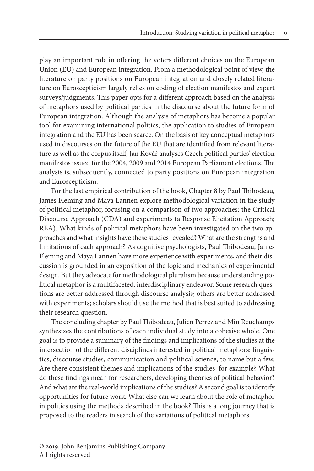play an important role in offering the voters different choices on the European Union (EU) and European integration. From a methodological point of view, the literature on party positions on European integration and closely related literature on Euroscepticism largely relies on coding of election manifestos and expert surveys/judgments. This paper opts for a different approach based on the analysis of metaphors used by political parties in the discourse about the future form of European integration. Although the analysis of metaphors has become a popular tool for examining international politics, the application to studies of European integration and the EU has been scarce. On the basis of key conceptual metaphors used in discourses on the future of the EU that are identified from relevant literature as well as the corpus itself, Jan Kovář analyses Czech political parties' election manifestos issued for the 2004, 2009 and 2014 European Parliament elections. The analysis is, subsequently, connected to party positions on European integration and Euroscepticism.

For the last empirical contribution of the book, Chapter 8 by Paul Thibodeau, James Fleming and Maya Lannen explore methodological variation in the study of political metaphor, focusing on a comparison of two approaches: the Critical Discourse Approach (CDA) and experiments (a Response Elicitation Approach; REA). What kinds of political metaphors have been investigated on the two approaches and what insights have these studies revealed? What are the strengths and limitations of each approach? As cognitive psychologists, Paul Thibodeau, James Fleming and Maya Lannen have more experience with experiments, and their discussion is grounded in an exposition of the logic and mechanics of experimental design. But they advocate for methodological pluralism because understanding political metaphor is a multifaceted, interdisciplinary endeavor. Some research questions are better addressed through discourse analysis; others are better addressed with experiments; scholars should use the method that is best suited to addressing their research question.

The concluding chapter by Paul Thibodeau, Julien Perrez and Min Reuchamps synthesizes the contributions of each individual study into a cohesive whole. One goal is to provide a summary of the findings and implications of the studies at the intersection of the different disciplines interested in political metaphors: linguistics, discourse studies, communication and political science, to name but a few. Are there consistent themes and implications of the studies, for example? What do these findings mean for researchers, developing theories of political behavior? And what are the real-world implications of the studies? A second goal is to identify opportunities for future work. What else can we learn about the role of metaphor in politics using the methods described in the book? This is a long journey that is proposed to the readers in search of the variations of political metaphors.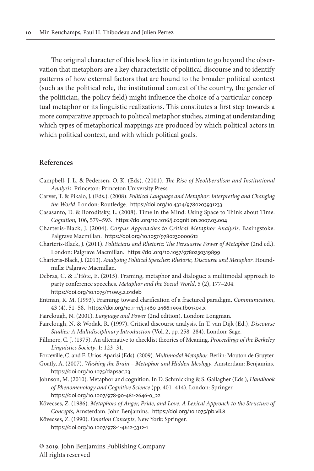The original character of this book lies in its intention to go beyond the observation that metaphors are a key characteristic of political discourse and to identify patterns of how external factors that are bound to the broader political context (such as the political role, the institutional context of the country, the gender of the politician, the policy field) might influence the choice of a particular conceptual metaphor or its linguistic realizations. This constitutes a first step towards a more comparative approach to political metaphor studies, aiming at understanding which types of metaphorical mappings are produced by which political actors in which political context, and with which political goals.

#### **References**

- <span id="page-10-2"></span>Campbell, J. L. & Pedersen, O. K. (Eds). (2001). *The Rise of Neoliberalism and Institutional Analysis*. Princeton: Princeton University Press.
- <span id="page-10-7"></span>Carver, T. & Pikalo, J. (Eds.). (2008). *Political Language and Metaphor: Interpreting and Changing the World*. London: Routledge. <https://doi.org/10.4324/9780203931233>
- <span id="page-10-5"></span>Casasanto, D. & Boroditsky, L. (2008). Time in the Mind: Using Space to Think about Time. *Cognition*, 106, 579–593. <https://doi.org/10.1016/j.cognition.2007.03.004>
- <span id="page-10-4"></span>Charteris-Black, J. (2004). *Corpus Approaches to Critical Metaphor Analysis*. Basingstoke: Palgrave Macmillan. <https://doi.org/10.1057/9780230000612>
- <span id="page-10-8"></span>Charteris-Black, J. (2011). *Politicians and Rhetoric: The Persuasive Power of Metaphor* (2nd ed.). London: Palgrave Macmillan. <https://doi.org/10.1057/9780230319899>
- <span id="page-10-9"></span>Charteris-Black, J. (2013). *Analysing Political Speeches: Rhetoric, Discourse and Metaphor*. Houndmills: Palgrave Macmillan.
- <span id="page-10-10"></span>Debras, C. & L'Hôte, E. (2015). Framing, metaphor and dialogue: a multimodal approach to party conference speeches. *Metaphor and the Social World*, 5 (2), 177–204. <https://doi.org/10.1075/msw.5.2.01deb>
- <span id="page-10-12"></span>Entman, R. M. (1993). Framing: toward clarification of a fractured paradigm. *Communication*, 43 (4), 51–58. <https://doi.org/10.1111/j.1460-2466.1993.tb01304.x>
- Fairclough, N. (2001). *Language and Power* (2nd edition). London: Longman.
- <span id="page-10-3"></span><span id="page-10-1"></span>Fairclough, N. & Wodak, R. (1997). Critical discourse analysis. In T. van Dijk (Ed.), *Discourse Studies: A Multidisciplinary Introduction* (Vol. 2, pp. 258–284). London: Sage.
- <span id="page-10-0"></span>Fillmore, C. J. (1975). An alternative to checklist theories of Meaning. *Proceedings of the Berkeley Linguistics Society*, 1: 123–31.
- Forceville, C. and E. Urios-Aparisi (Eds). (2009). *Multimodal Metaphor*. Berlin: Mouton de Gruyter.
- <span id="page-10-11"></span>Goatly, A. (2007). *Washing the Brain – Metaphor and Hidden Ideology*. Amsterdam: Benjamins. <https://doi.org/10.1075/dapsac.23>
- <span id="page-10-6"></span>Johnson, M. (2010). Metaphor and cognition. In D. Schmicking & S. Gallagher (Eds.), *Handbook of Phenomenology and Cognitive Science* (pp. 401–414). London: Springer. [https://doi.org/10.1007/978-90-481-2646-0\\_22](https://doi.org/10.1007/978-90-481-2646-0_22)
- <span id="page-10-13"></span>Kövecses, Z. (1986). *Metaphors of Anger, Pride, and Love. A Lexical Approach to the Structure of Concepts*, Amsterdam: John Benjamins. <https://doi.org/10.1075/pb.vii.8>
- <span id="page-10-14"></span>Kövecses, Z. (1990). *Emotion Concepts*, New York: Springer. <https://doi.org/10.1007/978-1-4612-3312-1>

© 2019. John Benjamins Publishing Company All rights reserved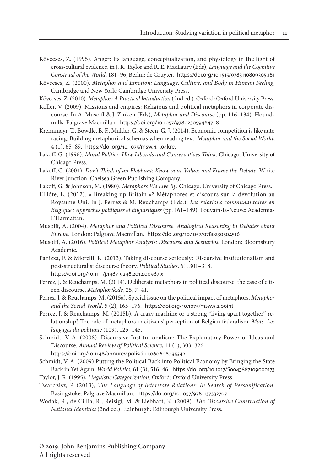- <span id="page-11-18"></span>Kövecses, Z. (1995). Anger: Its language, conceptualization, and physiology in the light of cross-cultural evidence, in J. R. Taylor and R. E. MacLaury (Eds), *Language and the Cognitive Construal of the World*, 181–96, Berlin: de Gruyter. <https://doi.org/10.1515/9783110809305.181>
- <span id="page-11-19"></span>Kövecses, Z. (2000). *Metaphor and Emotion: Language, Culture, and Body in Human Feeling*, Cambridge and New York: Cambridge University Press.
- Kövecses, Z. (2010). *Metaphor: A Practical Introduction* (2nd ed.). Oxford: Oxford University Press.
- <span id="page-11-15"></span><span id="page-11-8"></span>Koller, V. (2009). Missions and empires: Religious and political metaphors in corporate discourse. In A. Musolff & J. Zinken (Eds), *Metaphor and Discourse* (pp. 116–134). Houndmills: Palgrave Macmillan. [https://doi.org/10.1057/9780230594647\\_8](https://doi.org/10.1057/9780230594647_8)
- <span id="page-11-17"></span>Krennmayr, T., Bowdle, B. F., Mulder, G. & Steen, G. J. (2014). Economic competition is like auto racing: Building metaphorical schemas when reading text. *Metaphor and the Social World*, 4 (1), 65–89. <https://doi.org/10.1075/msw.4.1.04kre>.
- <span id="page-11-9"></span>Lakoff, G. (1996). *Moral Politics: How Liberals and Conservatives Think*. Chicago: University of Chicago Press.
- <span id="page-11-11"></span>Lakoff, G. (2004). *Don't Think of an Elephant: Know your Values and Frame the Debate*. White River Junction: Chelsea Green Publishing Company.
- Lakoff, G. & Johnson, M. (1980). *Metaphors We Live By*. Chicago: University of Chicago Press.
- <span id="page-11-12"></span><span id="page-11-7"></span>L'Hôte, E. (2012). « Breaking up Britain »? Métaphores et discours sur la dévolution au Royaume-Uni. In J. Perrez & M. Reuchamps (Eds.), *Les relations communautaires en Belgique : Approches politiques et linguistiques* (pp. 161–189). Louvain-la-Neuve: Academia-L'Harmattan.
- <span id="page-11-10"></span>Musolff, A. (2004). *Metaphor and Political Discourse. Analogical Reasoning in Debates about Europe*. London: Palgrave Macmillan. <https://doi.org/10.1057/9780230504516>
- <span id="page-11-1"></span>Musolff, A. (2016). *Political Metaphor Analysis: Discourse and Scenarios*. London: Bloomsbury Academic.
- <span id="page-11-5"></span>Panizza, F. & Miorelli, R. (2013). Taking discourse seriously: Discursive institutionalism and post-structuralist discourse theory. *Political Studies*, 61, 301–318. <https://doi.org/10.1111/j.1467-9248.2012.00967.x>
- <span id="page-11-13"></span>Perrez, J. & Reuchamps, M. (2014). Deliberate metaphors in political discourse: the case of citizen discourse. *Metaphorik.de*, 25, 7–41.
- <span id="page-11-16"></span>Perrez, J. & Reuchamps, M. (2015a). Special issue on the political impact of metaphors. *Metaphor and the Social World*, 5 (2), 165–176. <https://doi.org/10.1075/msw.5.2.00int>
- <span id="page-11-14"></span>Perrez, J. & Reuchamps, M. (2015b). A crazy machine or a strong "living apart together" relationship? The role of metaphors in citizens' perception of Belgian federalism. *Mots. Les langages du politique* (109), 125–145.
- <span id="page-11-4"></span>Schmidt, V. A. (2008). Discursive Institutionalism: The Explanatory Power of Ideas and Discourse. *Annual Review of Political Science*, 11 (1), 303–326. <https://doi.org/10.1146/annurev.polisci.11.060606.135342>
- <span id="page-11-6"></span>Schmidt, V. A. (2009) Putting the Political Back into Political Economy by Bringing the State Back in Yet Again. *World Politics*, 61 (3), 516–46. <https://doi.org/10.1017/S0043887109000173>
- Taylor, J. R. (1995), *Linguistic Categorization*. Oxford: Oxford University Press.
- <span id="page-11-2"></span><span id="page-11-0"></span>Twardzisz, P. (2013), *The Language of Interstate Relations: In Search of Personification*. Basingstoke: Palgrave Macmillan. <https://doi.org/10.1057/9781137332707>
- <span id="page-11-3"></span>Wodak, R., de Cillia, R., Reisigl, M. & Liebhart, K. (2009). *The Discursive Construction of National Identities* (2nd ed.). Edinburgh: Edinburgh University Press.